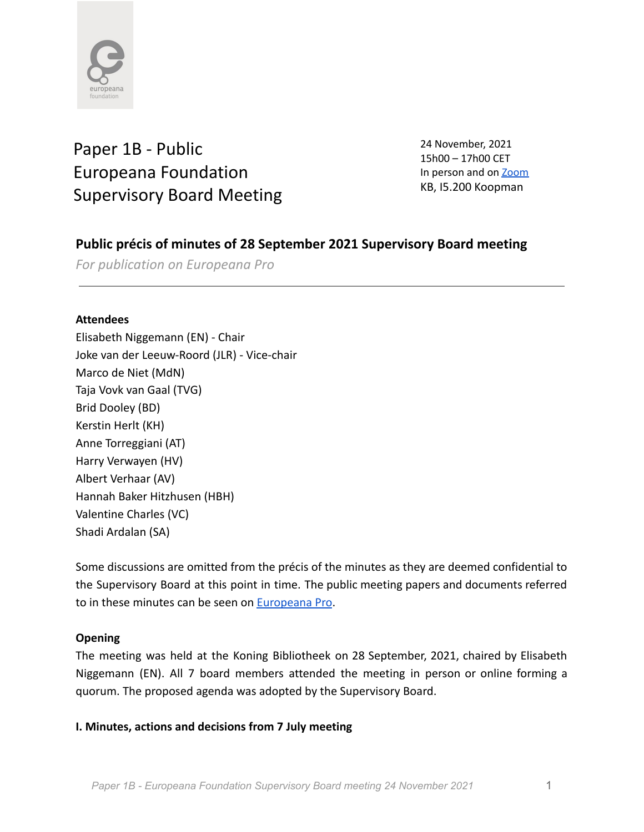

# Paper 1B - Public Europeana Foundation Supervisory Board Meeting

24 November, 2021 15h00 – 17h00 CET In person and on **[Zoom](https://zoom.us/j/99313656771)** KB, I5.200 Koopman

# **Public précis of minutes of 28 September 2021 Supervisory Board meeting**

*For publication on Europeana Pro*

#### **Attendees**

Elisabeth Niggemann (EN) - Chair Joke van der Leeuw-Roord (JLR) - Vice-chair Marco de Niet (MdN) Taja Vovk van Gaal (TVG) Brid Dooley (BD) Kerstin Herlt (KH) Anne Torreggiani (AT) Harry Verwayen (HV) Albert Verhaar (AV) Hannah Baker Hitzhusen (HBH) Valentine Charles (VC) Shadi Ardalan (SA)

Some discussions are omitted from the précis of the minutes as they are deemed confidential to the Supervisory Board at this point in time. The public meeting papers and documents referred to in these minutes can be seen on [Europeana Pro](https://pro.europeana.eu/about-us/foundation).

# **Opening**

The meeting was held at the Koning Bibliotheek on 28 September, 2021, chaired by Elisabeth Niggemann (EN). All 7 board members attended the meeting in person or online forming a quorum. The proposed agenda was adopted by the Supervisory Board.

#### **I. Minutes, actions and decisions from 7 July meeting**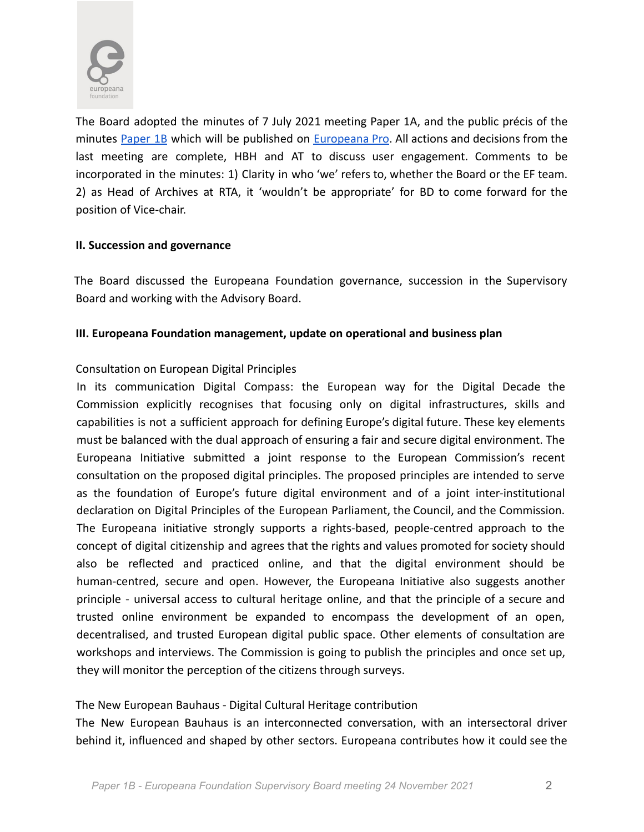

The Board adopted the minutes of 7 July 2021 meeting Paper 1A, and the public précis of the minutes [Paper](https://docs.google.com/document/d/15cpR3d_IkvyWXY-rqavLvHSBmyJnc-9prrXeMvtdlvg/edit) 1B which will be published on [Europeana](https://pro.europeana.eu/about-us/foundation) Pro. All actions and decisions from the last meeting are complete, HBH and AT to discuss user engagement. Comments to be incorporated in the minutes: 1) Clarity in who 'we' refers to, whether the Board or the EF team. 2) as Head of Archives at RTA, it 'wouldn't be appropriate' for BD to come forward for the position of Vice-chair.

#### **II. Succession and governance**

The Board discussed the Europeana Foundation governance, succession in the Supervisory Board and working with the Advisory Board.

#### **III. Europeana Foundation management, update on operational and business plan**

# Consultation on European Digital Principles

In its communication Digital Compass: the European way for the Digital Decade the Commission explicitly recognises that focusing only on digital infrastructures, skills and capabilities is not a sufficient approach for defining Europe's digital future. These key elements must be balanced with the dual approach of ensuring a fair and secure digital environment. The Europeana Initiative submitted a joint response to the European Commission's recent consultation on the proposed digital principles. The proposed principles are intended to serve as the foundation of Europe's future digital environment and of a joint inter-institutional declaration on Digital Principles of the European Parliament, the Council, and the Commission. The Europeana initiative strongly supports a rights-based, people-centred approach to the concept of digital citizenship and agrees that the rights and values promoted for society should also be reflected and practiced online, and that the digital environment should be human-centred, secure and open. However, the Europeana Initiative also suggests another principle - universal access to cultural heritage online, and that the principle of a secure and trusted online environment be expanded to encompass the development of an open, decentralised, and trusted European digital public space. Other elements of consultation are workshops and interviews. The Commission is going to publish the principles and once set up, they will monitor the perception of the citizens through surveys.

# The New European Bauhaus - Digital Cultural Heritage contribution

The New European Bauhaus is an interconnected conversation, with an intersectoral driver behind it, influenced and shaped by other sectors. Europeana contributes how it could see the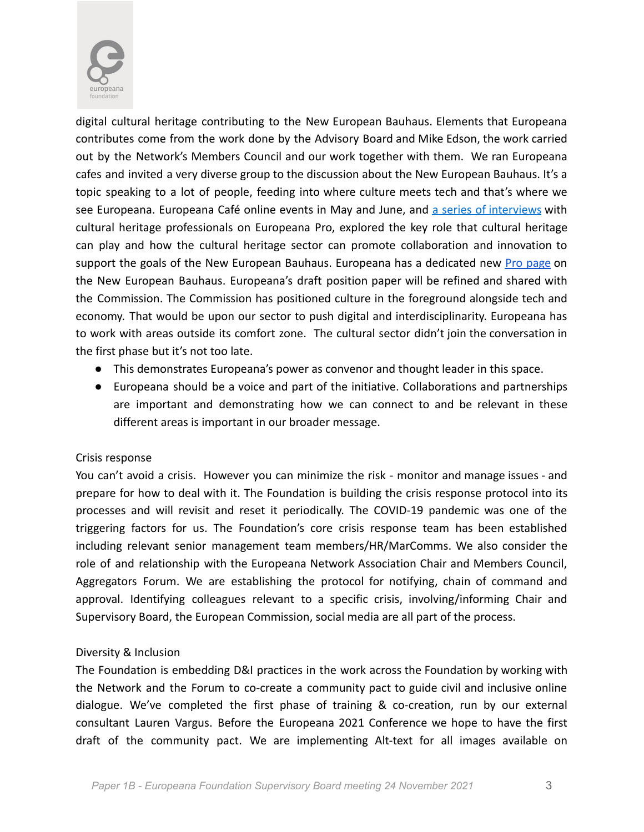

digital cultural heritage contributing to the New European Bauhaus. Elements that Europeana contributes come from the work done by the Advisory Board and Mike Edson, the work carried out by the Network's Members Council and our work together with them. We ran Europeana cafes and invited a very diverse group to the discussion about the New European Bauhaus. It's a topic speaking to a lot of people, feeding into where culture meets tech and that's where we see Europeana. Europeana Café online events in May and June, and a series of [interviews](https://europeana.us3.list-manage.com/track/click?u=ad318b7566f97eccc895e014e&id=b497c118d3&e=6e2f87e96d) with cultural heritage professionals on Europeana Pro, explored the key role that cultural heritage can play and how the cultural heritage sector can promote collaboration and innovation to support the goals of the New European Bauhaus. Europeana has a dedicated new Pro [page](https://pro.europeana.eu/page/new-european-bauhaus) on the New European Bauhaus. Europeana's draft position paper will be refined and shared with the Commission. The Commission has positioned culture in the foreground alongside tech and economy. That would be upon our sector to push digital and interdisciplinarity. Europeana has to work with areas outside its comfort zone. The cultural sector didn't join the conversation in the first phase but it's not too late.

- This demonstrates Europeana's power as convenor and thought leader in this space.
- Europeana should be a voice and part of the initiative. Collaborations and partnerships are important and demonstrating how we can connect to and be relevant in these different areas is important in our broader message.

# Crisis response

You can't avoid a crisis. However you can minimize the risk - monitor and manage issues - and prepare for how to deal with it. The Foundation is building the crisis response protocol into its processes and will revisit and reset it periodically. The COVID-19 pandemic was one of the triggering factors for us. The Foundation's core crisis response team has been established including relevant senior management team members/HR/MarComms. We also consider the role of and relationship with the Europeana Network Association Chair and Members Council, Aggregators Forum. We are establishing the protocol for notifying, chain of command and approval. Identifying colleagues relevant to a specific crisis, involving/informing Chair and Supervisory Board, the European Commission, social media are all part of the process.

# Diversity & Inclusion

The Foundation is embedding D&I practices in the work across the Foundation by working with the Network and the Forum to co-create a community pact to guide civil and inclusive online dialogue. We've completed the first phase of training & co-creation, run by our external consultant Lauren Vargus. Before the Europeana 2021 Conference we hope to have the first draft of the community pact. We are implementing Alt-text for all images available on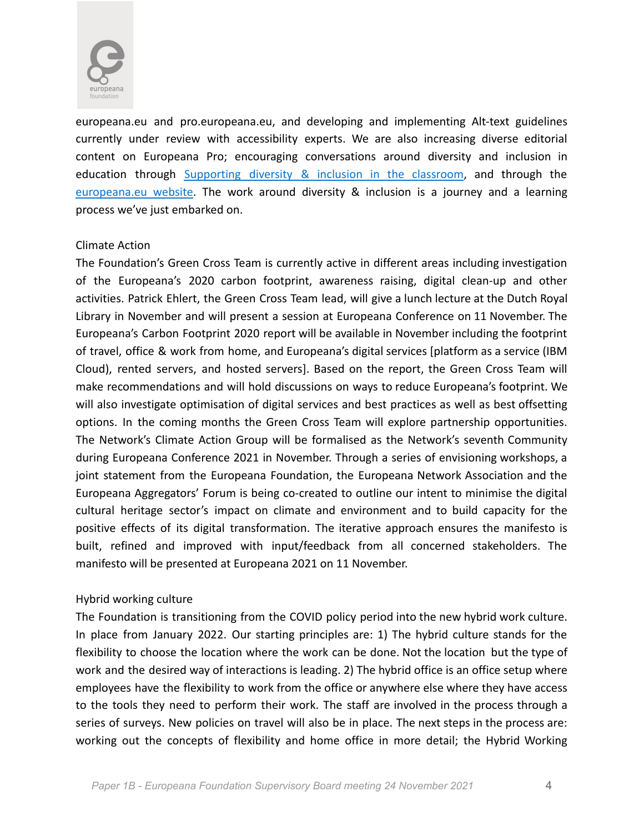

europeana.eu and pro.europeana.eu, and developing and implementing Alt-text guidelines currently under review with accessibility experts. We are also increasing diverse editorial content on Europeana Pro; encouraging conversations around diversity and inclusion in education through [Supporting](https://pro.europeana.eu/post/supporting-diversity-and-inclusion-in-the-classroom) diversity & inclusion in the classroom, and through the [europeana.eu](https://www.europeana.eu/en/blog/roma-slavery-in-romania-a-history) website. The work around diversity & inclusion is a journey and a learning process we've just embarked on.

#### Climate Action

The Foundation's Green Cross Team is currently active in different areas including investigation of the Europeana's 2020 carbon footprint, awareness raising, digital clean-up and other activities. Patrick Ehlert, the Green Cross Team lead, will give a lunch lecture at the Dutch Royal Library in November and will present a session at Europeana Conference on 11 November. The Europeana's Carbon Footprint 2020 report will be available in November including the footprint of travel, office & work from home, and Europeana's digital services [platform as a service (IBM Cloud), rented servers, and hosted servers]. Based on the report, the Green Cross Team will make recommendations and will hold discussions on ways to reduce Europeana's footprint. We will also investigate optimisation of digital services and best practices as well as best offsetting options. In the coming months the Green Cross Team will explore partnership opportunities. The Network's Climate Action Group will be formalised as the Network's seventh Community during Europeana Conference 2021 in November. Through a series of envisioning workshops, a joint statement from the Europeana Foundation, the Europeana Network Association and the Europeana Aggregators' Forum is being co-created to outline our intent to minimise the digital cultural heritage sector's impact on climate and environment and to build capacity for the positive effects of its digital transformation. The iterative approach ensures the manifesto is built, refined and improved with input/feedback from all concerned stakeholders. The manifesto will be presented at Europeana 2021 on 11 November.

#### Hybrid working culture

The Foundation is transitioning from the COVID policy period into the new hybrid work culture. In place from January 2022. Our starting principles are: 1) The hybrid culture stands for the flexibility to choose the location where the work can be done. Not the location but the type of work and the desired way of interactions is leading. 2) The hybrid office is an office setup where employees have the flexibility to work from the office or anywhere else where they have access to the tools they need to perform their work. The staff are involved in the process through a series of surveys. New policies on travel will also be in place. The next steps in the process are: working out the concepts of flexibility and home office in more detail; the Hybrid Working